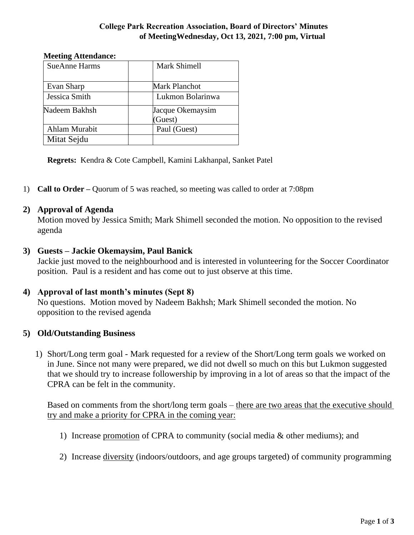#### **College Park Recreation Association, Board of Directors' Minutes of MeetingWednesday, Oct 13, 2021, 7:00 pm, Virtual**

#### **Meeting Attendance:**

| <b>SueAnne Harms</b> | <b>Mark Shimell</b> |
|----------------------|---------------------|
|                      |                     |
| Evan Sharp           | Mark Planchot       |
| Jessica Smith        | Lukmon Bolarinwa    |
| Nadeem Bakhsh        | Jacque Okemaysim    |
|                      | (Guest)             |
| Ahlam Murabit        | Paul (Guest)        |
| Mitat Sejdu          |                     |

**Regrets:** Kendra & Cote Campbell, Kamini Lakhanpal, Sanket Patel

1) **Call to Order –** Quorum of 5 was reached, so meeting was called to order at 7:08pm

### **2) Approval of Agenda**

Motion moved by Jessica Smith; Mark Shimell seconded the motion. No opposition to the revised agenda

### **3) Guests – Jackie Okemaysim, Paul Banick**

Jackie just moved to the neighbourhood and is interested in volunteering for the Soccer Coordinator position. Paul is a resident and has come out to just observe at this time.

#### **4) Approval of last month's minutes (Sept 8)**

No questions. Motion moved by Nadeem Bakhsh; Mark Shimell seconded the motion. No opposition to the revised agenda

## **5) Old/Outstanding Business**

1) Short/Long term goal - Mark requested for a review of the Short/Long term goals we worked on in June. Since not many were prepared, we did not dwell so much on this but Lukmon suggested that we should try to increase followership by improving in a lot of areas so that the impact of the CPRA can be felt in the community.

Based on comments from the short/long term goals – there are two areas that the executive should try and make a priority for CPRA in the coming year:

- 1) Increase promotion of CPRA to community (social media & other mediums); and
- 2) Increase diversity (indoors/outdoors, and age groups targeted) of community programming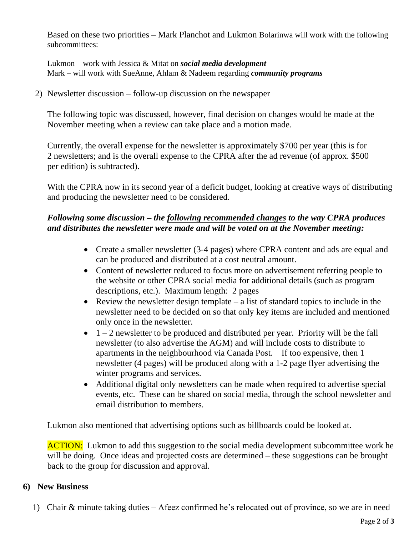Based on these two priorities – Mark Planchot and Lukmon Bolarinwa will work with the following subcommittees:

Lukmon – work with Jessica & Mitat on *social media development* Mark – will work with SueAnne, Ahlam & Nadeem regarding *community programs*

2) Newsletter discussion – follow-up discussion on the newspaper

The following topic was discussed, however, final decision on changes would be made at the November meeting when a review can take place and a motion made.

Currently, the overall expense for the newsletter is approximately \$700 per year (this is for 2 newsletters; and is the overall expense to the CPRA after the ad revenue (of approx. \$500 per edition) is subtracted).

With the CPRA now in its second year of a deficit budget, looking at creative ways of distributing and producing the newsletter need to be considered.

## *Following some discussion – the following recommended changes to the way CPRA produces and distributes the newsletter were made and will be voted on at the November meeting:*

- Create a smaller newsletter (3-4 pages) where CPRA content and ads are equal and can be produced and distributed at a cost neutral amount.
- Content of newsletter reduced to focus more on advertisement referring people to the website or other CPRA social media for additional details (such as program descriptions, etc.). Maximum length: 2 pages
- Review the newsletter design template  $-$  a list of standard topics to include in the newsletter need to be decided on so that only key items are included and mentioned only once in the newsletter.
- $\bullet$  1 2 newsletter to be produced and distributed per year. Priority will be the fall newsletter (to also advertise the AGM) and will include costs to distribute to apartments in the neighbourhood via Canada Post. If too expensive, then 1 newsletter (4 pages) will be produced along with a 1-2 page flyer advertising the winter programs and services.
- Additional digital only newsletters can be made when required to advertise special events, etc. These can be shared on social media, through the school newsletter and email distribution to members.

Lukmon also mentioned that advertising options such as billboards could be looked at.

**ACTION:** Lukmon to add this suggestion to the social media development subcommittee work he will be doing. Once ideas and projected costs are determined – these suggestions can be brought back to the group for discussion and approval.

## **6) New Business**

1) Chair & minute taking duties – Afeez confirmed he's relocated out of province, so we are in need